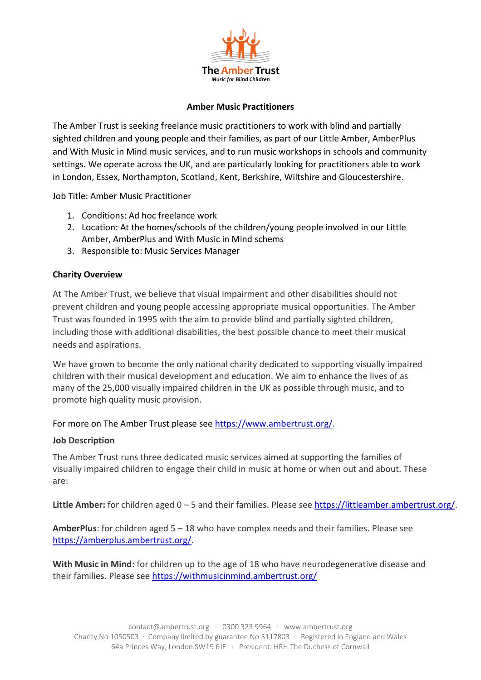

### **Amber Music Practitioners**

The Amber Trust is seeking freelance music practitioners to work with blind and partially sighted children and young people and their families, as part of our Little Amber, AmberPlus and With Music in Mind music services, and to run music workshops in schools and community settings. We operate across the UK, and are particularly looking for practitioners able to work in London, Essex, Northampton, Scotland, Kent, Berkshire, Wiltshire and Gloucestershire.

Job Title: Amber Music Practitioner

- 1. Conditions: Ad hoc freelance work
- 2. Location: At the homes/schools of the children/young people involved in our Little Amber, AmberPlus and With Music in Mind schems
- 3. Responsible to: Music Services Manager

# **Charity Overview**

At The Amber Trust, we believe that visual impairment and other disabilities should not prevent children and young people accessing appropriate musical opportunities. The Amber Trust was founded in 1995 with the aim to provide blind and partially sighted children, including those with additional disabilities, the best possible chance to meet their musical needs and aspirations.

We have grown to become the only national charity dedicated to supporting visually impaired children with their musical development and education. We aim to enhance the lives of as many of the 25,000 visually impaired children in the UK as possible through music, and to promote high quality music provision.

# For more on The Amber Trust please see https://www.ambertrust.org/.

#### **Job Description**

The Amber Trust runs three dedicated music services aimed at supporting the families of visually impaired children to engage their child in music at home or when out and about. These are:

Little Amber: for children aged 0 – 5 and their families. Please see https://littleamber.ambertrust.org/.

**AmberPlus**: for children aged 5 – 18 who have complex needs and their families. Please see https://amberplus.ambertrust.org/.

**With Music in Mind:** for children up to the age of 18 who have neurodegenerative disease and their families. Please see https://withmusicinmind.ambertrust.org/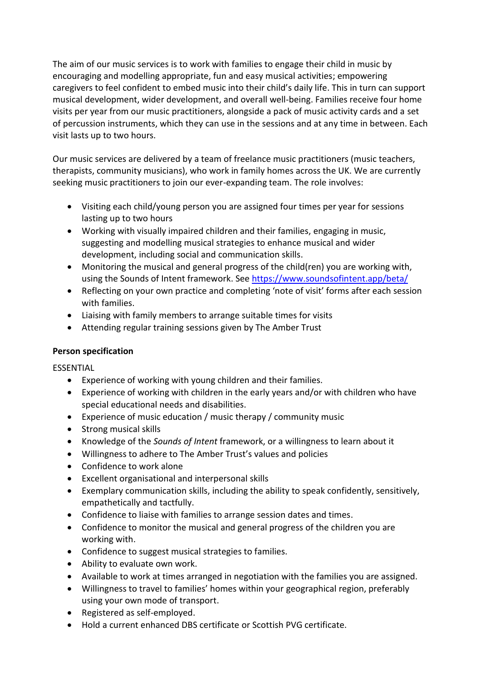The aim of our music services is to work with families to engage their child in music by encouraging and modelling appropriate, fun and easy musical activities; empowering caregivers to feel confident to embed music into their child's daily life. This in turn can support musical development, wider development, and overall well-being. Families receive four home visits per year from our music practitioners, alongside a pack of music activity cards and a set of percussion instruments, which they can use in the sessions and at any time in between. Each visit lasts up to two hours.

Our music services are delivered by a team of freelance music practitioners (music teachers, therapists, community musicians), who work in family homes across the UK. We are currently seeking music practitioners to join our ever-expanding team. The role involves:

- Visiting each child/young person you are assigned four times per year for sessions lasting up to two hours
- Working with visually impaired children and their families, engaging in music, suggesting and modelling musical strategies to enhance musical and wider development, including social and communication skills.
- Monitoring the musical and general progress of the child(ren) you are working with, using the Sounds of Intent framework. See https://www.soundsofintent.app/beta/
- Reflecting on your own practice and completing 'note of visit' forms after each session with families.
- Liaising with family members to arrange suitable times for visits
- Attending regular training sessions given by The Amber Trust

# **Person specification**

ESSENTIAL

- Experience of working with young children and their families.
- Experience of working with children in the early years and/or with children who have special educational needs and disabilities.
- Experience of music education / music therapy / community music
- Strong musical skills
- Knowledge of the *Sounds of Intent* framework, or a willingness to learn about it
- Willingness to adhere to The Amber Trust's values and policies
- Confidence to work alone
- Excellent organisational and interpersonal skills
- Exemplary communication skills, including the ability to speak confidently, sensitively, empathetically and tactfully.
- Confidence to liaise with families to arrange session dates and times.
- Confidence to monitor the musical and general progress of the children you are working with.
- Confidence to suggest musical strategies to families.
- Ability to evaluate own work.
- Available to work at times arranged in negotiation with the families you are assigned.
- Willingness to travel to families' homes within your geographical region, preferably using your own mode of transport.
- Registered as self-employed.
- Hold a current enhanced DBS certificate or Scottish PVG certificate.